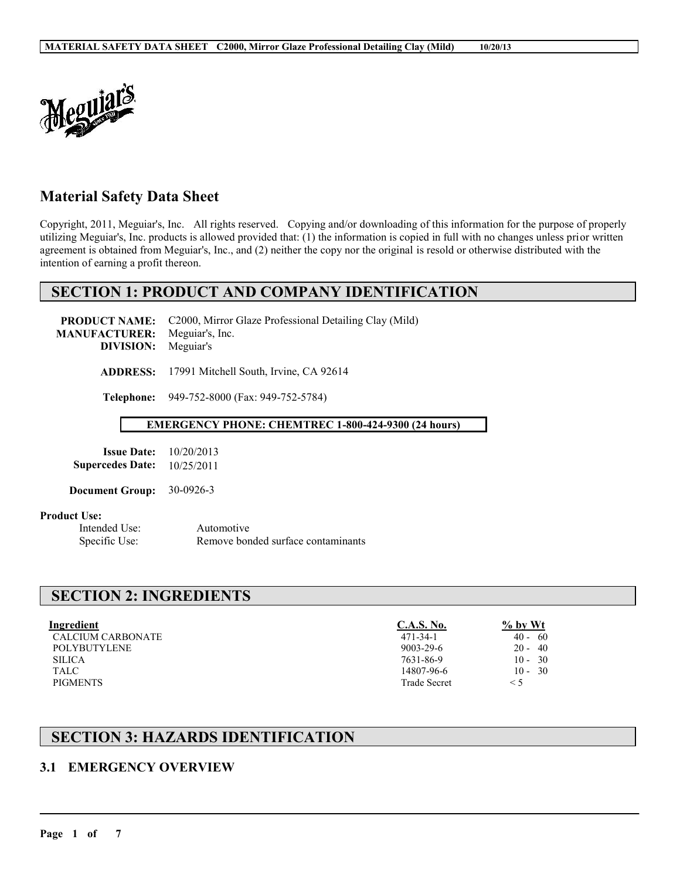

# **Material Safety Data Sheet**

Copyright, 2011, Meguiar's, Inc. All rights reserved. Copying and/or downloading of this information for the purpose of properly utilizing Meguiar's, Inc. products is allowed provided that: (1) the information is copied in full with no changes unless prior written agreement is obtained from Meguiar's, Inc., and (2) neither the copy nor the original is resold or otherwise distributed with the intention of earning a profit thereon.

# **SECTION 1: PRODUCT AND COMPANY IDENTIFICATION**

**PRODUCT NAME:** C2000, Mirror Glaze Professional Detailing Clay (Mild) **MANUFACTURER:** Meguiar's, Inc. **DIVISION:** Meguiar's **ADDRESS:** 17991 Mitchell South, Irvine, CA 92614

**Telephone:** 949-752-8000 (Fax: 949-752-5784)

#### **EMERGENCY PHONE: CHEMTREC 1-800-424-9300 (24 hours)**

| <b>Issue Date:</b>      | 10/20/2013 |
|-------------------------|------------|
| <b>Supercedes Date:</b> | 10/25/2011 |

**Document Group:** 30-0926-3

#### **Product Use:**

Intended Use: Automotive Specific Use: Remove bonded surface contaminants

# **SECTION 2: INGREDIENTS**

| Ingredient          | C.A.S. No.          | $\%$ by Wt |
|---------------------|---------------------|------------|
| CALCIUM CARBONATE   | $471 - 34 - 1$      | $40 - 60$  |
| <b>POLYBUTYLENE</b> | $9003 - 29 - 6$     | $20 - 40$  |
| <b>SILICA</b>       | 7631-86-9           | $10 - 30$  |
| TALC                | 14807-96-6          | $10 - 30$  |
| <b>PIGMENTS</b>     | <b>Trade Secret</b> | $\leq$ 5   |

 $\_$  ,  $\_$  ,  $\_$  ,  $\_$  ,  $\_$  ,  $\_$  ,  $\_$  ,  $\_$  ,  $\_$  ,  $\_$  ,  $\_$  ,  $\_$  ,  $\_$  ,  $\_$  ,  $\_$  ,  $\_$  ,  $\_$  ,  $\_$  ,  $\_$  ,  $\_$  ,  $\_$  ,  $\_$  ,  $\_$  ,  $\_$  ,  $\_$  ,  $\_$  ,  $\_$  ,  $\_$  ,  $\_$  ,  $\_$  ,  $\_$  ,  $\_$  ,  $\_$  ,  $\_$  ,  $\_$  ,  $\_$  ,  $\_$  ,

# **SECTION 3: HAZARDS IDENTIFICATION**

### **3.1 EMERGENCY OVERVIEW**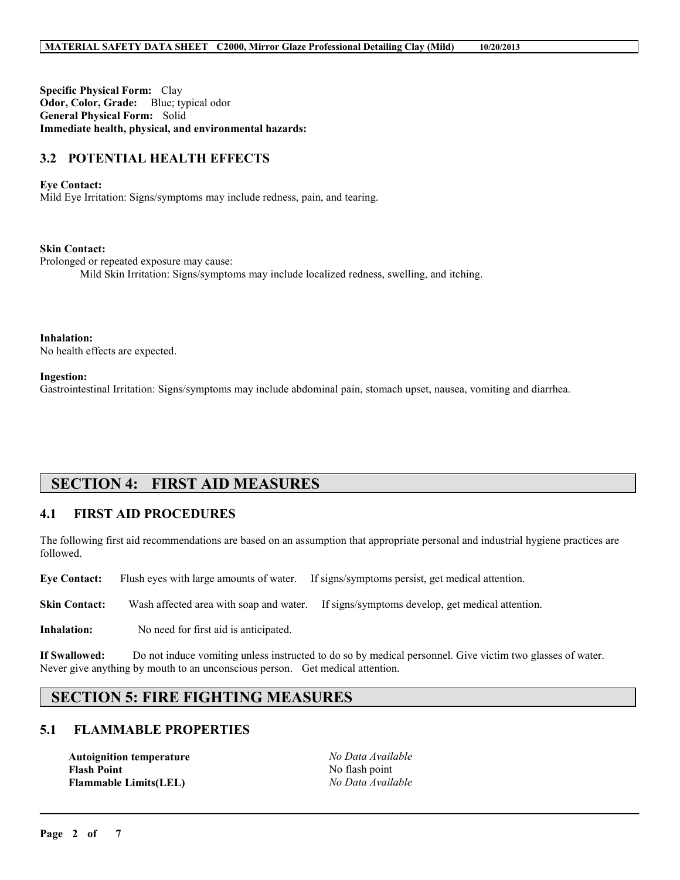**Specific Physical Form:** Clay **Odor, Color, Grade:** Blue; typical odor **General Physical Form:** Solid **Immediate health, physical, and environmental hazards:**

# **3.2 POTENTIAL HEALTH EFFECTS**

#### **Eye Contact:**

Mild Eye Irritation: Signs/symptoms may include redness, pain, and tearing.

#### **Skin Contact:**

Prolonged or repeated exposure may cause:

Mild Skin Irritation: Signs/symptoms may include localized redness, swelling, and itching.

**Inhalation:** No health effects are expected.

**Ingestion:**

Gastrointestinal Irritation: Signs/symptoms may include abdominal pain, stomach upset, nausea, vomiting and diarrhea.

# **SECTION 4: FIRST AID MEASURES**

### **4.1 FIRST AID PROCEDURES**

The following first aid recommendations are based on an assumption that appropriate personal and industrial hygiene practices are followed.

**Eye Contact:** Flush eyes with large amounts of water. If signs/symptoms persist, get medical attention.

**Skin Contact:** Wash affected area with soap and water. If signs/symptoms develop, get medical attention.

**Inhalation:** No need for first aid is anticipated.

**If Swallowed:** Do not induce vomiting unless instructed to do so by medical personnel. Give victim two glasses of water. Never give anything by mouth to an unconscious person. Get medical attention.

# **SECTION 5: FIRE FIGHTING MEASURES**

### **5.1 FLAMMABLE PROPERTIES**

**Autoignition temperature** *No Data Available* **Flash Point** No flash point **Flammable Limits(LEL)** *No Data Available*

 $\_$  ,  $\_$  ,  $\_$  ,  $\_$  ,  $\_$  ,  $\_$  ,  $\_$  ,  $\_$  ,  $\_$  ,  $\_$  ,  $\_$  ,  $\_$  ,  $\_$  ,  $\_$  ,  $\_$  ,  $\_$  ,  $\_$  ,  $\_$  ,  $\_$  ,  $\_$  ,  $\_$  ,  $\_$  ,  $\_$  ,  $\_$  ,  $\_$  ,  $\_$  ,  $\_$  ,  $\_$  ,  $\_$  ,  $\_$  ,  $\_$  ,  $\_$  ,  $\_$  ,  $\_$  ,  $\_$  ,  $\_$  ,  $\_$  ,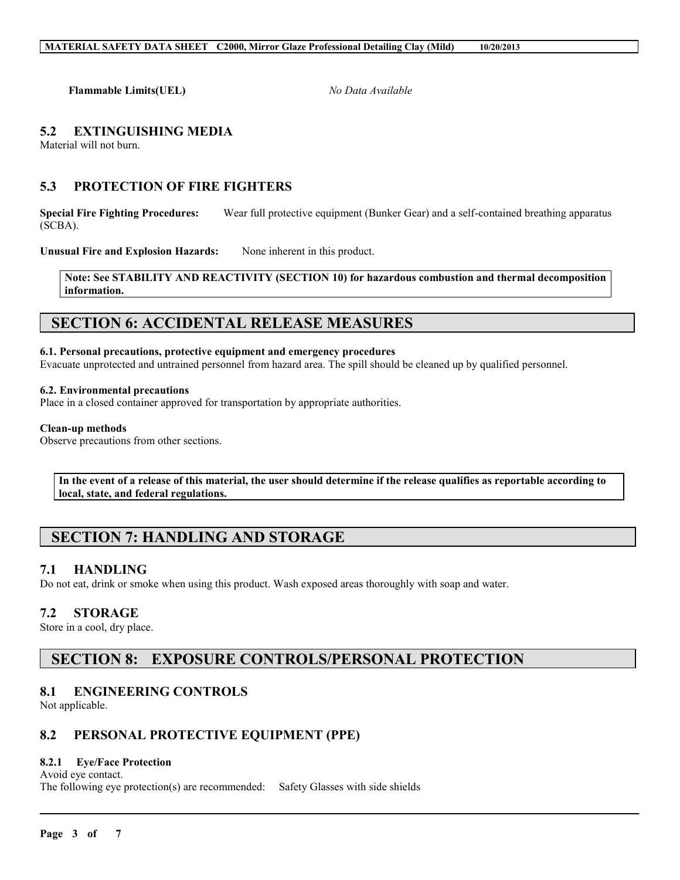**Flammable Limits(UEL)** *No Data Available*

# **5.2 EXTINGUISHING MEDIA**

Material will not burn.

# **5.3 PROTECTION OF FIRE FIGHTERS**

**Special Fire Fighting Procedures:** Wear full protective equipment (Bunker Gear) and a self-contained breathing apparatus (SCBA).

Unusual Fire and Explosion Hazards: None inherent in this product.

**Note: See STABILITY AND REACTIVITY (SECTION 10) for hazardous combustion and thermal decomposition information.**

# **SECTION 6: ACCIDENTAL RELEASE MEASURES**

#### **6.1. Personal precautions, protective equipment and emergency procedures**

Evacuate unprotected and untrained personnel from hazard area. The spill should be cleaned up by qualified personnel.

#### **6.2. Environmental precautions**

Place in a closed container approved for transportation by appropriate authorities.

#### **Clean-up methods**

Observe precautions from other sections.

**In the event of a release of this material, the user should determine if the release qualifies as reportable according to local, state, and federal regulations.**

 $\_$  ,  $\_$  ,  $\_$  ,  $\_$  ,  $\_$  ,  $\_$  ,  $\_$  ,  $\_$  ,  $\_$  ,  $\_$  ,  $\_$  ,  $\_$  ,  $\_$  ,  $\_$  ,  $\_$  ,  $\_$  ,  $\_$  ,  $\_$  ,  $\_$  ,  $\_$  ,  $\_$  ,  $\_$  ,  $\_$  ,  $\_$  ,  $\_$  ,  $\_$  ,  $\_$  ,  $\_$  ,  $\_$  ,  $\_$  ,  $\_$  ,  $\_$  ,  $\_$  ,  $\_$  ,  $\_$  ,  $\_$  ,  $\_$  ,

# **SECTION 7: HANDLING AND STORAGE**

### **7.1 HANDLING**

Do not eat, drink or smoke when using this product. Wash exposed areas thoroughly with soap and water.

### **7.2 STORAGE**

Store in a cool, dry place.

# **SECTION 8: EXPOSURE CONTROLS/PERSONAL PROTECTION**

### **8.1 ENGINEERING CONTROLS**

Not applicable.

# **8.2 PERSONAL PROTECTIVE EQUIPMENT (PPE)**

### **8.2.1 Eye/Face Protection**

Avoid eye contact.

The following eye protection(s) are recommended: Safety Glasses with side shields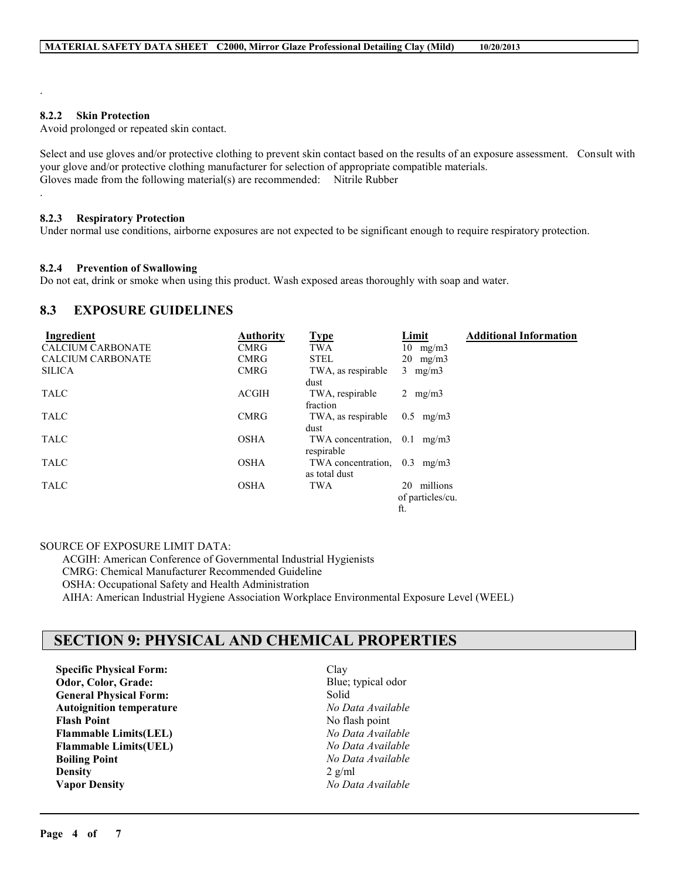#### **8.2.2 Skin Protection**

.

.

Avoid prolonged or repeated skin contact.

Select and use gloves and/or protective clothing to prevent skin contact based on the results of an exposure assessment. Consult with your glove and/or protective clothing manufacturer for selection of appropriate compatible materials. Gloves made from the following material(s) are recommended: Nitrile Rubber

#### **8.2.3 Respiratory Protection**

Under normal use conditions, airborne exposures are not expected to be significant enough to require respiratory protection.

#### **8.2.4 Prevention of Swallowing**

Do not eat, drink or smoke when using this product. Wash exposed areas thoroughly with soap and water.

### **8.3 EXPOSURE GUIDELINES**

| Ingredient               | <b>Authority</b> | <b>Type</b>                           | Limit             | <b>Additional Information</b> |
|--------------------------|------------------|---------------------------------------|-------------------|-------------------------------|
| <b>CALCIUM CARBONATE</b> | <b>CMRG</b>      | TWA                                   | $10 \text{ mg/m}$ |                               |
| <b>CALCIUM CARBONATE</b> | <b>CMRG</b>      | <b>STEL</b>                           | $20 \text{ mg/m}$ |                               |
| <b>SILICA</b>            | <b>CMRG</b>      | TWA, as respirable                    | $3 \text{ mg/m}$  |                               |
|                          |                  | dust                                  |                   |                               |
| <b>TALC</b>              | <b>ACGIH</b>     | TWA, respirable                       | 2 $mg/m3$         |                               |
|                          |                  | fraction                              |                   |                               |
| <b>TALC</b>              | <b>CMRG</b>      | TWA, as respirable                    | $0.5$ mg/m $3$    |                               |
|                          |                  | dust                                  |                   |                               |
| <b>TALC</b>              | <b>OSHA</b>      | TWA concentration, $0.1 \text{ mg/m}$ |                   |                               |
|                          |                  | respirable                            |                   |                               |
| <b>TALC</b>              | <b>OSHA</b>      | TWA concentration.                    | $0.3$ mg/m $3$    |                               |
|                          |                  | as total dust                         |                   |                               |
| <b>TALC</b>              | <b>OSHA</b>      | TWA                                   | millions<br>20    |                               |
|                          |                  |                                       | of particles/cu.  |                               |
|                          |                  |                                       | ft.               |                               |

#### SOURCE OF EXPOSURE LIMIT DATA:

ACGIH: American Conference of Governmental Industrial Hygienists CMRG: Chemical Manufacturer Recommended Guideline OSHA: Occupational Safety and Health Administration

AIHA: American Industrial Hygiene Association Workplace Environmental Exposure Level (WEEL)

# **SECTION 9: PHYSICAL AND CHEMICAL PROPERTIES**

**Specific Physical Form:** Clay **Odor, Color, Grade:** Blue; typical odor **General Physical Form:** Solid **Autoignition temperature** *No Data Available* **Flash Point**<br> **Flammable Limits(LEL)**<br> *No Data Available*  $Flammable Limits (LEL)$ **Flammable Limits(UEL)** *No Data Available* **Boiling Point** *No Data Available* **Density** 2 g/ml **Vapor Density** *No Data Available*

 $\_$  ,  $\_$  ,  $\_$  ,  $\_$  ,  $\_$  ,  $\_$  ,  $\_$  ,  $\_$  ,  $\_$  ,  $\_$  ,  $\_$  ,  $\_$  ,  $\_$  ,  $\_$  ,  $\_$  ,  $\_$  ,  $\_$  ,  $\_$  ,  $\_$  ,  $\_$  ,  $\_$  ,  $\_$  ,  $\_$  ,  $\_$  ,  $\_$  ,  $\_$  ,  $\_$  ,  $\_$  ,  $\_$  ,  $\_$  ,  $\_$  ,  $\_$  ,  $\_$  ,  $\_$  ,  $\_$  ,  $\_$  ,  $\_$  ,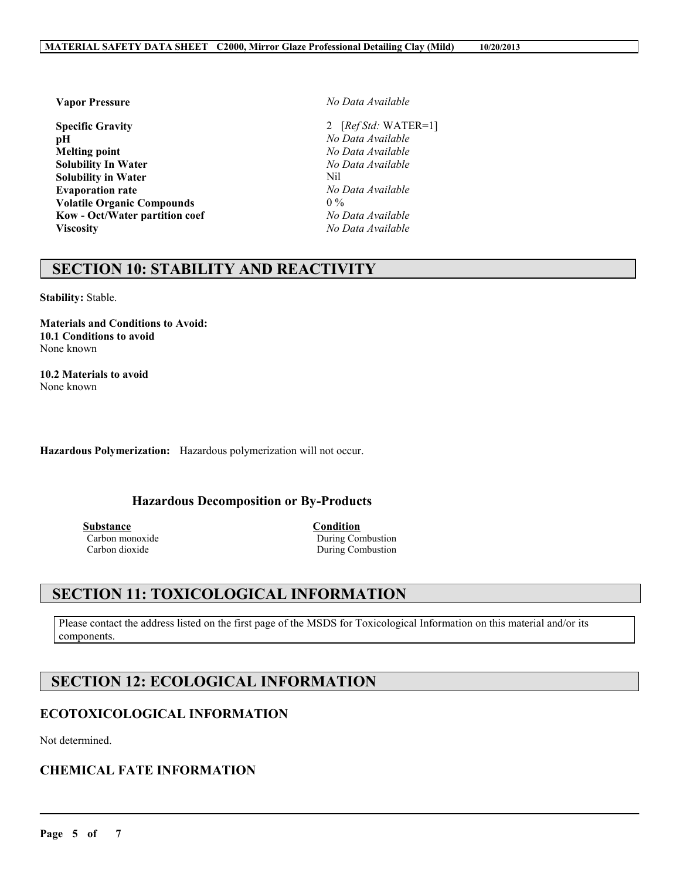**Specific Gravity** 2 [*Ref Std:* WATER=1] **pH** *No Data Available* **Melting point** *No Data Available* **Solubility In Water** *No Data Available* **Solubility in Water**<br> **Evaporation rate**<br> **Evaporation rate**<br> **No Data Available Evaporation rate Volatile Organic Compounds** 0 % **Kow - Oct/Water partition coef** *No Data Available* **Viscosity** *No Data Available*

**Vapor Pressure** *No Data Available*

# **SECTION 10: STABILITY AND REACTIVITY**

**Stability:** Stable.

**Materials and Conditions to Avoid: 10.1 Conditions to avoid** None known

**10.2 Materials to avoid** None known

**Hazardous Polymerization:** Hazardous polymerization will not occur.

### **Hazardous Decomposition or By-Products**

**Substance Condition**<br> **Carbon monoxide Carbon <b>Condition**<br> **Condition** Carbon monoxide During Combustion<br>
Carbon dioxide During Combustion<br>
During Combustion During Combustion

# **SECTION 11: TOXICOLOGICAL INFORMATION**

Please contact the address listed on the first page of the MSDS for Toxicological Information on this material and/or its components.

 $\_$  ,  $\_$  ,  $\_$  ,  $\_$  ,  $\_$  ,  $\_$  ,  $\_$  ,  $\_$  ,  $\_$  ,  $\_$  ,  $\_$  ,  $\_$  ,  $\_$  ,  $\_$  ,  $\_$  ,  $\_$  ,  $\_$  ,  $\_$  ,  $\_$  ,  $\_$  ,  $\_$  ,  $\_$  ,  $\_$  ,  $\_$  ,  $\_$  ,  $\_$  ,  $\_$  ,  $\_$  ,  $\_$  ,  $\_$  ,  $\_$  ,  $\_$  ,  $\_$  ,  $\_$  ,  $\_$  ,  $\_$  ,  $\_$  ,

# **SECTION 12: ECOLOGICAL INFORMATION**

# **ECOTOXICOLOGICAL INFORMATION**

Not determined.

# **CHEMICAL FATE INFORMATION**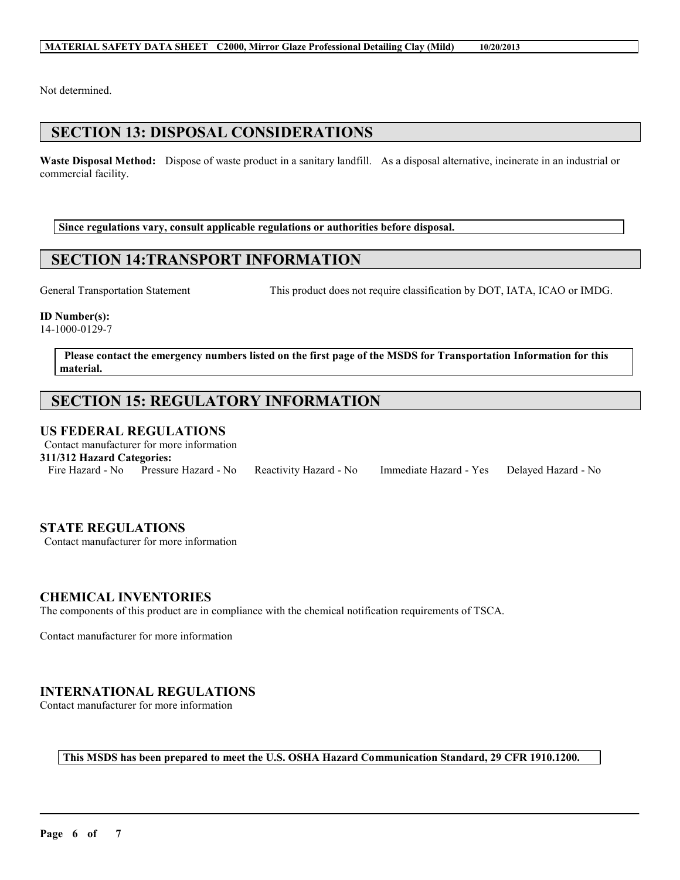Not determined.

# **SECTION 13: DISPOSAL CONSIDERATIONS**

**Waste Disposal Method:** Dispose of waste product in a sanitary landfill. As a disposal alternative, incinerate in an industrial or commercial facility.

**Since regulations vary, consult applicable regulations or authorities before disposal.**

# **SECTION 14:TRANSPORT INFORMATION**

General Transportation Statement This product does not require classification by DOT, IATA, ICAO or IMDG.

### **ID Number(s):**

14-1000-0129-7

**Please contact the emergency numbers listed on the first page of the MSDS for Transportation Information for this material.**

# **SECTION 15: REGULATORY INFORMATION**

# **US FEDERAL REGULATIONS**

Contact manufacturer for more information

**311/312 Hazard Categories:**

Fire Hazard - No Pressure Hazard - No Reactivity Hazard - No Immediate Hazard - Yes Delayed Hazard - No

# **STATE REGULATIONS**

Contact manufacturer for more information

### **CHEMICAL INVENTORIES**

The components of this product are in compliance with the chemical notification requirements of TSCA.

Contact manufacturer for more information

# **INTERNATIONAL REGULATIONS**

Contact manufacturer for more information

**This MSDS has been prepared to meet the U.S. OSHA Hazard Communication Standard, 29 CFR 1910.1200.**

 $\_$  ,  $\_$  ,  $\_$  ,  $\_$  ,  $\_$  ,  $\_$  ,  $\_$  ,  $\_$  ,  $\_$  ,  $\_$  ,  $\_$  ,  $\_$  ,  $\_$  ,  $\_$  ,  $\_$  ,  $\_$  ,  $\_$  ,  $\_$  ,  $\_$  ,  $\_$  ,  $\_$  ,  $\_$  ,  $\_$  ,  $\_$  ,  $\_$  ,  $\_$  ,  $\_$  ,  $\_$  ,  $\_$  ,  $\_$  ,  $\_$  ,  $\_$  ,  $\_$  ,  $\_$  ,  $\_$  ,  $\_$  ,  $\_$  ,